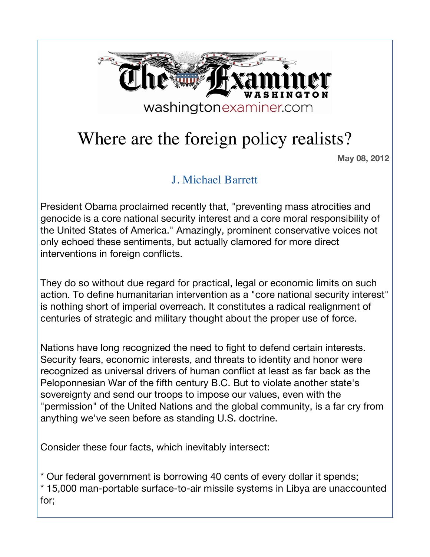

## Where are the foreign policy realists?

 **May 08, 2012**

## J. Michael Barrett

President Obama proclaimed recently that, "preventing mass atrocities and genocide is a core national security interest and a core moral responsibility of the United States of America." Amazingly, prominent conservative voices not only echoed these sentiments, but actually clamored for more direct interventions in foreign conflicts.

They do so without due regard for practical, legal or economic limits on such action. To define humanitarian intervention as a "core national security interest" is nothing short of imperial overreach. It constitutes a radical realignment of centuries of strategic and military thought about the proper use of force.

Nations have long recognized the need to fight to defend certain interests. Security fears, economic interests, and threats to identity and honor were recognized as universal drivers of human conflict at least as far back as the Peloponnesian War of the fifth century B.C. But to violate another state's sovereignty and send our troops to impose our values, even with the "permission" of the United Nations and the global community, is a far cry from anything we've seen before as standing U.S. doctrine.

Consider these four facts, which inevitably intersect:

\* Our federal government is borrowing 40 cents of every dollar it spends; \* 15,000 man-portable surface-to-air missile systems in Libya are unaccounted for;